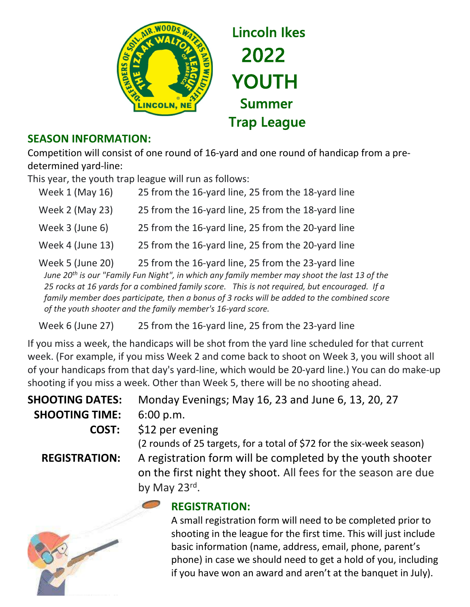

## SEASON INFORMATION:

Competition will consist of one round of 16-yard and one round of handicap from a predetermined yard-line:

This year, the youth trap league will run as follows:

| Week 1 (May 16)  | 25 from the 16-yard line, 25 from the 18-yard line                                                |
|------------------|---------------------------------------------------------------------------------------------------|
| Week 2 (May 23)  | 25 from the 16-yard line, 25 from the 18-yard line                                                |
| Week 3 (June 6)  | 25 from the 16-yard line, 25 from the 20-yard line                                                |
| Week 4 (June 13) | 25 from the 16-yard line, 25 from the 20-yard line                                                |
| Week 5 (June 20) | 25 from the 16-yard line, 25 from the 23-yard line                                                |
|                  | $l_{\text{max}}$ 20th is our "Equally Eug Night" in which any family monohor mousehoot the last 1 |

June 20<sup>th</sup> is our "Family Fun Night", in which any family member may shoot the last 13 of the 25 rocks at 16 yards for a combined family score. This is not required, but encouraged. If a family member does participate, then a bonus of 3 rocks will be added to the combined score of the youth shooter and the family member's 16-yard score.

Week 6 (June 27) 25 from the 16-yard line, 25 from the 23-yard line

If you miss a week, the handicaps will be shot from the yard line scheduled for that current week. (For example, if you miss Week 2 and come back to shoot on Week 3, you will shoot all of your handicaps from that day's yard-line, which would be 20-yard line.) You can do make-up shooting if you miss a week. Other than Week 5, there will be no shooting ahead.

| <b>SHOOTING DATES:</b> | Monday Evenings; May 16, 23 and June 6, 13, 20, 27                                                                                                                                                                    |
|------------------------|-----------------------------------------------------------------------------------------------------------------------------------------------------------------------------------------------------------------------|
| <b>SHOOTING TIME:</b>  | 6:00 p.m.                                                                                                                                                                                                             |
| COST:                  | \$12 per evening                                                                                                                                                                                                      |
| <b>REGISTRATION:</b>   | (2 rounds of 25 targets, for a total of \$72 for the six-week season)<br>A registration form will be completed by the youth shooter<br>on the first night they shoot. All fees for the season are due<br>by May 23rd. |
|                        | <b>REGISTRATION:</b><br>A small registration form will need to be completed prior to<br>shooting in the league for the first time. This will just include<br>basic information (name, address, email, phone, parent's |

phone) in case we should need to get a hold of you, including if you have won an award and aren't at the banquet in July).